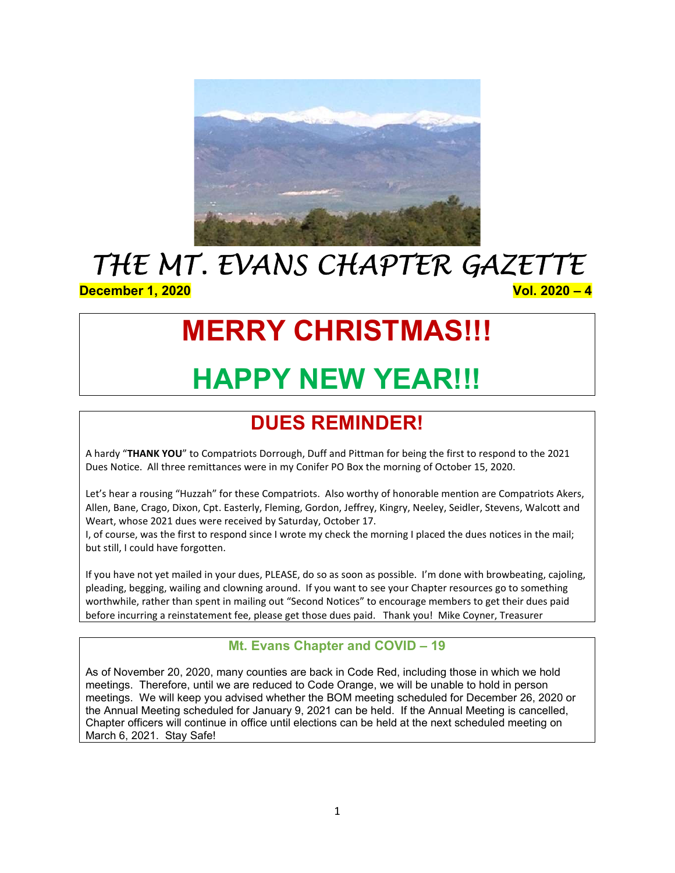

THE MT. EVANS CHAPTER GAZETTE <u>December 1, 2020</u> Vol. 2020 – 4

# MERRY CHRISTMAS!!!

## HAPPY NEW YEAR!!!

### DUES REMINDER!

A hardy "THANK YOU" to Compatriots Dorrough, Duff and Pittman for being the first to respond to the 2021 Dues Notice. All three remittances were in my Conifer PO Box the morning of October 15, 2020.

Let's hear a rousing "Huzzah" for these Compatriots. Also worthy of honorable mention are Compatriots Akers, Allen, Bane, Crago, Dixon, Cpt. Easterly, Fleming, Gordon, Jeffrey, Kingry, Neeley, Seidler, Stevens, Walcott and Weart, whose 2021 dues were received by Saturday, October 17.

I, of course, was the first to respond since I wrote my check the morning I placed the dues notices in the mail; but still, I could have forgotten.

If you have not yet mailed in your dues, PLEASE, do so as soon as possible. I'm done with browbeating, cajoling, pleading, begging, wailing and clowning around. If you want to see your Chapter resources go to something worthwhile, rather than spent in mailing out "Second Notices" to encourage members to get their dues paid before incurring a reinstatement fee, please get those dues paid. Thank you! Mike Coyner, Treasurer

#### Mt. Evans Chapter and COVID – 19

As of November 20, 2020, many counties are back in Code Red, including those in which we hold meetings. Therefore, until we are reduced to Code Orange, we will be unable to hold in person meetings. We will keep you advised whether the BOM meeting scheduled for December 26, 2020 or the Annual Meeting scheduled for January 9, 2021 can be held. If the Annual Meeting is cancelled, Chapter officers will continue in office until elections can be held at the next scheduled meeting on March 6, 2021. Stay Safe!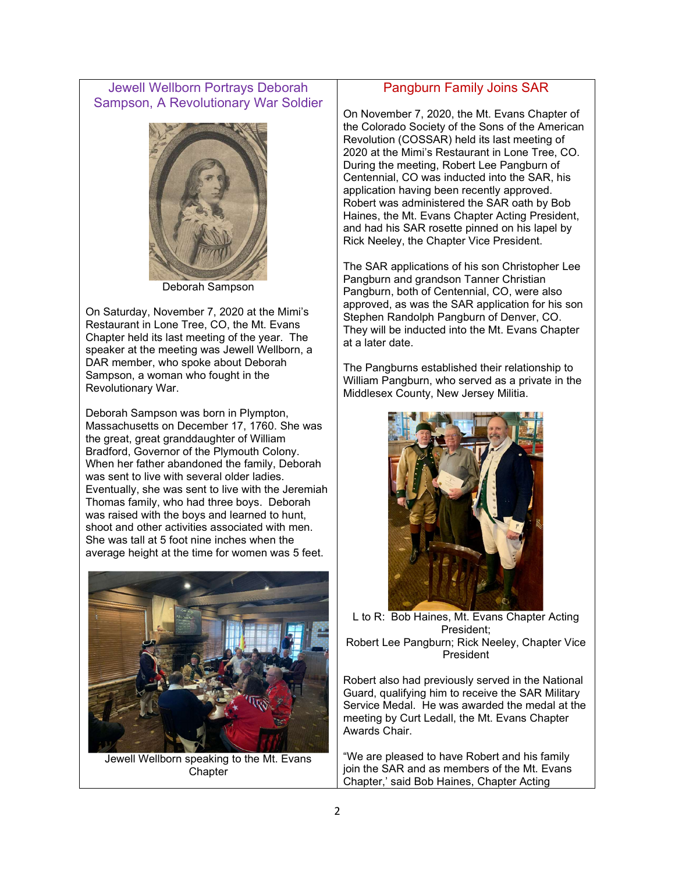#### Jewell Wellborn Portrays Deborah Sampson, A Revolutionary War Soldier



Deborah Sampson

On Saturday, November 7, 2020 at the Mimi's Restaurant in Lone Tree, CO, the Mt. Evans Chapter held its last meeting of the year. The speaker at the meeting was Jewell Wellborn, a DAR member, who spoke about Deborah Sampson, a woman who fought in the Revolutionary War.

Deborah Sampson was born in Plympton, Massachusetts on December 17, 1760. She was the great, great granddaughter of William Bradford, Governor of the Plymouth Colony. When her father abandoned the family, Deborah was sent to live with several older ladies. Eventually, she was sent to live with the Jeremiah Thomas family, who had three boys. Deborah was raised with the boys and learned to hunt, shoot and other activities associated with men. She was tall at 5 foot nine inches when the average height at the time for women was 5 feet.



Jewell Wellborn speaking to the Mt. Evans **Chapter** 

#### Pangburn Family Joins SAR

On November 7, 2020, the Mt. Evans Chapter of the Colorado Society of the Sons of the American Revolution (COSSAR) held its last meeting of 2020 at the Mimi's Restaurant in Lone Tree, CO. During the meeting, Robert Lee Pangburn of Centennial, CO was inducted into the SAR, his application having been recently approved. Robert was administered the SAR oath by Bob Haines, the Mt. Evans Chapter Acting President, and had his SAR rosette pinned on his lapel by Rick Neeley, the Chapter Vice President.

The SAR applications of his son Christopher Lee Pangburn and grandson Tanner Christian Pangburn, both of Centennial, CO, were also approved, as was the SAR application for his son Stephen Randolph Pangburn of Denver, CO. They will be inducted into the Mt. Evans Chapter at a later date.

The Pangburns established their relationship to William Pangburn, who served as a private in the Middlesex County, New Jersey Militia.



L to R: Bob Haines, Mt. Evans Chapter Acting President; Robert Lee Pangburn; Rick Neeley, Chapter Vice President

Robert also had previously served in the National Guard, qualifying him to receive the SAR Military Service Medal. He was awarded the medal at the meeting by Curt Ledall, the Mt. Evans Chapter Awards Chair.

"We are pleased to have Robert and his family join the SAR and as members of the Mt. Evans Chapter,' said Bob Haines, Chapter Acting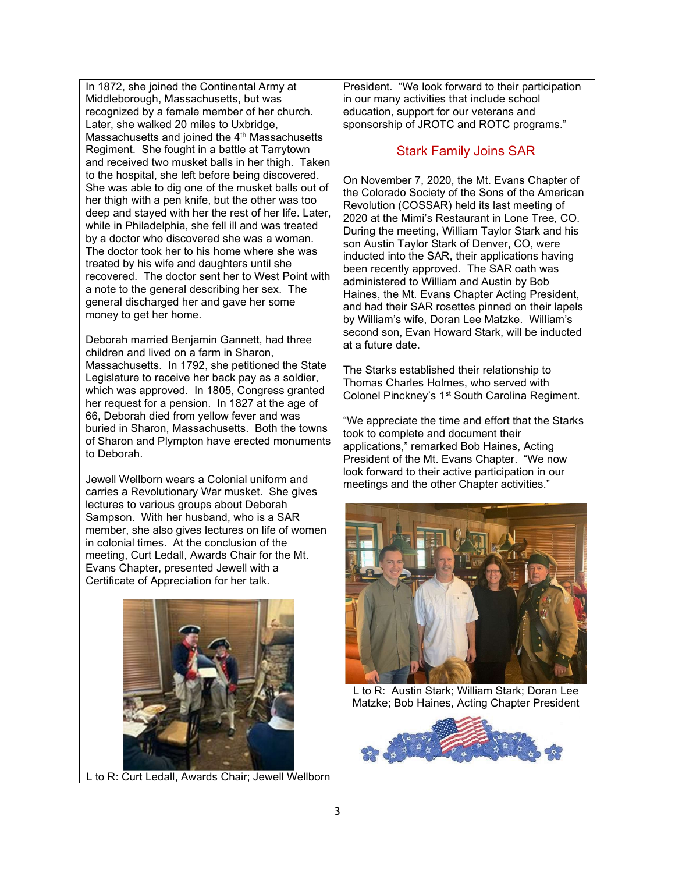In 1872, she joined the Continental Army at Middleborough, Massachusetts, but was recognized by a female member of her church. Later, she walked 20 miles to Uxbridge, Massachusetts and joined the  $4<sup>th</sup>$  Massachusetts Regiment. She fought in a battle at Tarrytown and received two musket balls in her thigh. Taken to the hospital, she left before being discovered. She was able to dig one of the musket balls out of her thigh with a pen knife, but the other was too deep and stayed with her the rest of her life. Later, while in Philadelphia, she fell ill and was treated by a doctor who discovered she was a woman. The doctor took her to his home where she was treated by his wife and daughters until she recovered. The doctor sent her to West Point with a note to the general describing her sex. The general discharged her and gave her some money to get her home.

Deborah married Benjamin Gannett, had three children and lived on a farm in Sharon, Massachusetts. In 1792, she petitioned the State Legislature to receive her back pay as a soldier, which was approved. In 1805, Congress granted her request for a pension. In 1827 at the age of 66, Deborah died from yellow fever and was buried in Sharon, Massachusetts. Both the towns of Sharon and Plympton have erected monuments to Deborah.

Jewell Wellborn wears a Colonial uniform and carries a Revolutionary War musket. She gives lectures to various groups about Deborah Sampson. With her husband, who is a SAR member, she also gives lectures on life of women in colonial times. At the conclusion of the meeting, Curt Ledall, Awards Chair for the Mt. Evans Chapter, presented Jewell with a Certificate of Appreciation for her talk.



L to R: Curt Ledall, Awards Chair; Jewell Wellborn

President. "We look forward to their participation in our many activities that include school education, support for our veterans and sponsorship of JROTC and ROTC programs."

#### Stark Family Joins SAR

On November 7, 2020, the Mt. Evans Chapter of the Colorado Society of the Sons of the American Revolution (COSSAR) held its last meeting of 2020 at the Mimi's Restaurant in Lone Tree, CO. During the meeting, William Taylor Stark and his son Austin Taylor Stark of Denver, CO, were inducted into the SAR, their applications having been recently approved. The SAR oath was administered to William and Austin by Bob Haines, the Mt. Evans Chapter Acting President, and had their SAR rosettes pinned on their lapels by William's wife, Doran Lee Matzke. William's second son, Evan Howard Stark, will be inducted at a future date.

The Starks established their relationship to Thomas Charles Holmes, who served with Colonel Pinckney's 1st South Carolina Regiment.

"We appreciate the time and effort that the Starks took to complete and document their applications," remarked Bob Haines, Acting President of the Mt. Evans Chapter. "We now look forward to their active participation in our meetings and the other Chapter activities."



L to R: Austin Stark; William Stark; Doran Lee Matzke; Bob Haines, Acting Chapter President